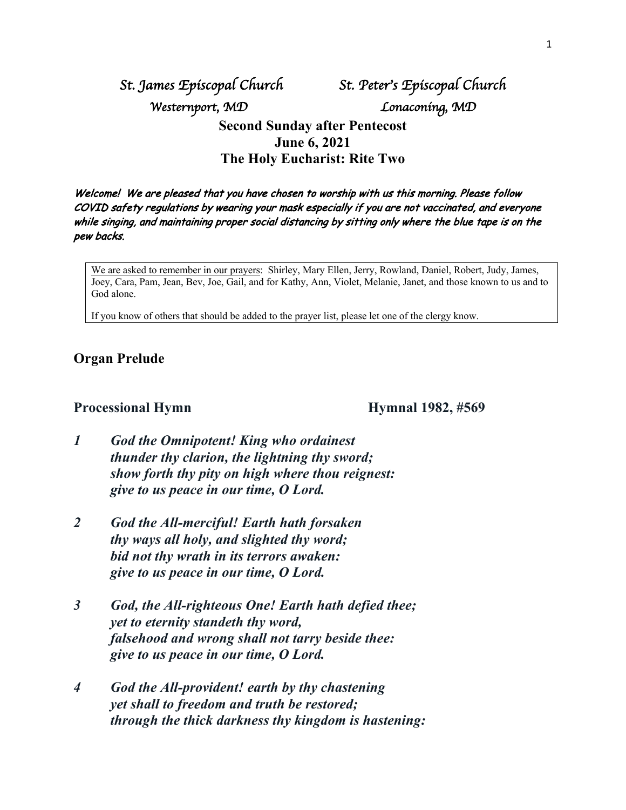*St. James Episcopal Church St. Peter*'*s Episcopal Church Westernport, MD Lonaconing, MD* 

> **Second Sunday after Pentecost June 6, 2021 The Holy Eucharist: Rite Two**

Welcome! We are pleased that you have chosen to worship with us this morning. Please follow COVID safety regulations by wearing your mask especially if you are not vaccinated, and everyone while singing, and maintaining proper social distancing by sitting only where the blue tape is on the pew backs.

We are asked to remember in our prayers: Shirley, Mary Ellen, Jerry, Rowland, Daniel, Robert, Judy, James, Joey, Cara, Pam, Jean, Bev, Joe, Gail, and for Kathy, Ann, Violet, Melanie, Janet, and those known to us and to God alone.

If you know of others that should be added to the prayer list, please let one of the clergy know.

#### **Organ Prelude**

### **Processional Hymn Hymnal 1982, #569**

- *1 God the Omnipotent! King who ordainest thunder thy clarion, the lightning thy sword; show forth thy pity on high where thou reignest: give to us peace in our time, O Lord.*
- *2 God the All-merciful! Earth hath forsaken thy ways all holy, and slighted thy word; bid not thy wrath in its terrors awaken: give to us peace in our time, O Lord.*
- *3 God, the All-righteous One! Earth hath defied thee; yet to eternity standeth thy word, falsehood and wrong shall not tarry beside thee: give to us peace in our time, O Lord.*
- *4 God the All-provident! earth by thy chastening yet shall to freedom and truth be restored; through the thick darkness thy kingdom is hastening:*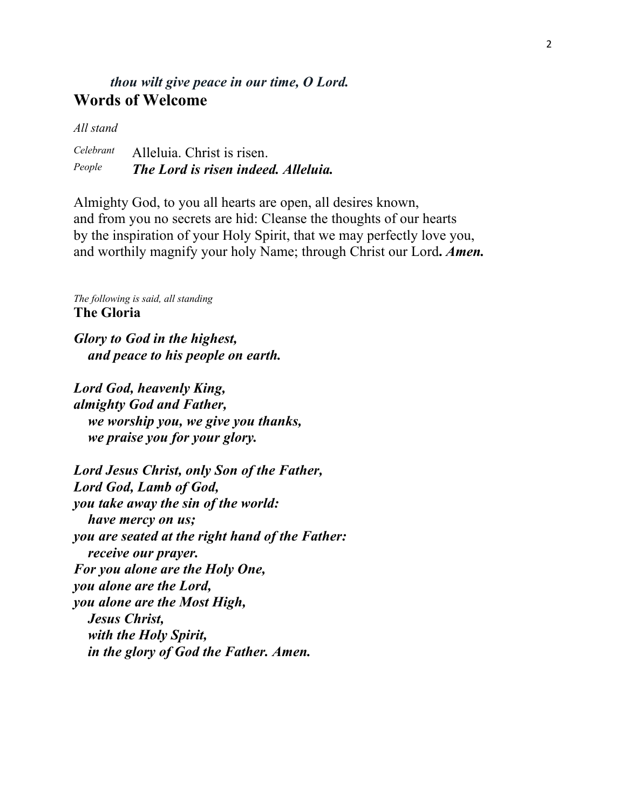## *thou wilt give peace in our time, O Lord.* **Words of Welcome**

#### *All stand*

*Celebrant* Alleluia. Christ is risen. *People The Lord is risen indeed. Alleluia.*

Almighty God, to you all hearts are open, all desires known, and from you no secrets are hid: Cleanse the thoughts of our hearts by the inspiration of your Holy Spirit, that we may perfectly love you, and worthily magnify your holy Name; through Christ our Lord**.** *Amen.*

*The following is said, all standing* **The Gloria**

*Glory to God in the highest, and peace to his people on earth.*

*Lord God, heavenly King, almighty God and Father, we worship you, we give you thanks, we praise you for your glory.*

*Lord Jesus Christ, only Son of the Father, Lord God, Lamb of God, you take away the sin of the world: have mercy on us; you are seated at the right hand of the Father: receive our prayer. For you alone are the Holy One, you alone are the Lord, you alone are the Most High, Jesus Christ, with the Holy Spirit, in the glory of God the Father. Amen.*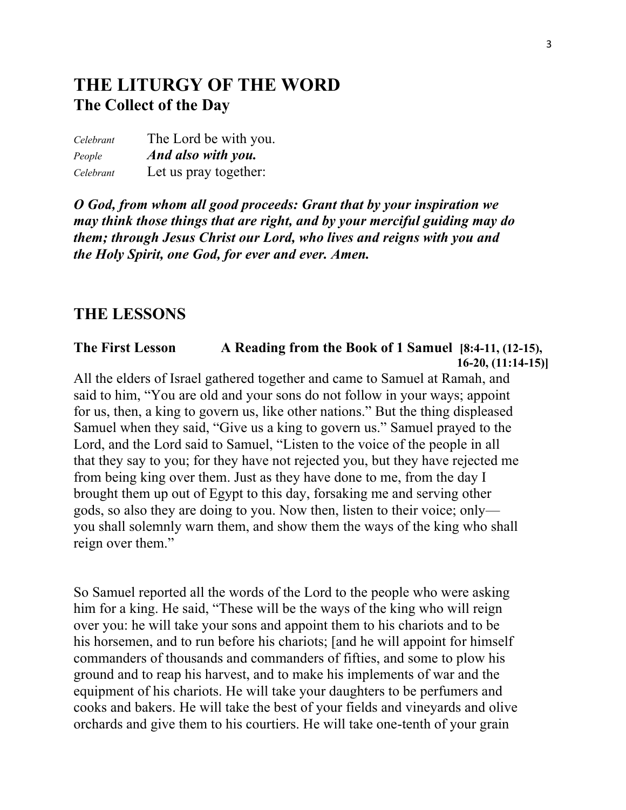# **THE LITURGY OF THE WORD The Collect of the Day**

*Celebrant* The Lord be with you. *People And also with you. Celebrant* Let us pray together:

*O God, from whom all good proceeds: Grant that by your inspiration we may think those things that are right, and by your merciful guiding may do them; through Jesus Christ our Lord, who lives and reigns with you and the Holy Spirit, one God, for ever and ever. Amen.*

## **THE LESSONS**

### **The First Lesson A Reading from the Book of 1 Samuel [8:4-11, (12-15), 16-20, (11:14-15)]**

All the elders of Israel gathered together and came to Samuel at Ramah, and said to him, "You are old and your sons do not follow in your ways; appoint for us, then, a king to govern us, like other nations." But the thing displeased Samuel when they said, "Give us a king to govern us." Samuel prayed to the Lord, and the Lord said to Samuel, "Listen to the voice of the people in all that they say to you; for they have not rejected you, but they have rejected me from being king over them. Just as they have done to me, from the day I brought them up out of Egypt to this day, forsaking me and serving other gods, so also they are doing to you. Now then, listen to their voice; only you shall solemnly warn them, and show them the ways of the king who shall reign over them."

So Samuel reported all the words of the Lord to the people who were asking him for a king. He said, "These will be the ways of the king who will reign over you: he will take your sons and appoint them to his chariots and to be his horsemen, and to run before his chariots; [and he will appoint for himself commanders of thousands and commanders of fifties, and some to plow his ground and to reap his harvest, and to make his implements of war and the equipment of his chariots. He will take your daughters to be perfumers and cooks and bakers. He will take the best of your fields and vineyards and olive orchards and give them to his courtiers. He will take one-tenth of your grain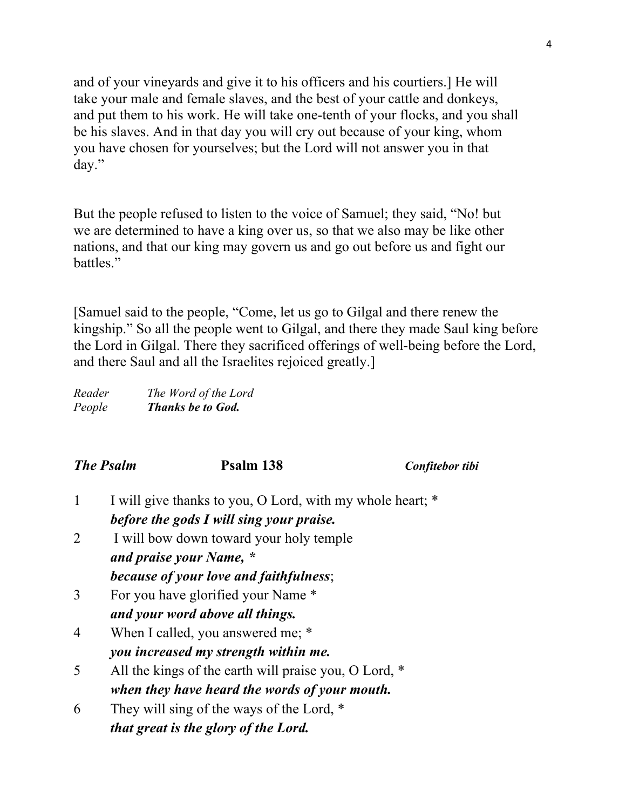and of your vineyards and give it to his officers and his courtiers.] He will take your male and female slaves, and the best of your cattle and donkeys, and put them to his work. He will take one-tenth of your flocks, and you shall be his slaves. And in that day you will cry out because of your king, whom you have chosen for yourselves; but the Lord will not answer you in that day."

But the people refused to listen to the voice of Samuel; they said, "No! but we are determined to have a king over us, so that we also may be like other nations, and that our king may govern us and go out before us and fight our battles."

[Samuel said to the people, "Come, let us go to Gilgal and there renew the kingship." So all the people went to Gilgal, and there they made Saul king before the Lord in Gilgal. There they sacrificed offerings of well-being before the Lord, and there Saul and all the Israelites rejoiced greatly.]

| Reader | The Word of the Lord     |
|--------|--------------------------|
| People | <b>Thanks be to God.</b> |

| <b>The Psalm</b> | Psalm 138                                                 | Confitebor tibi |
|------------------|-----------------------------------------------------------|-----------------|
| 1                | I will give thanks to you, O Lord, with my whole heart; * |                 |
|                  | before the gods I will sing your praise.                  |                 |
| 2                | I will bow down toward your holy temple                   |                 |
|                  | and praise your Name, *                                   |                 |
|                  | <i>because of your love and faithfulness;</i>             |                 |
| 3                | For you have glorified your Name *                        |                 |
|                  | and your word above all things.                           |                 |
| 4                | When I called, you answered me; *                         |                 |
|                  | you increased my strength within me.                      |                 |
| 5                | All the kings of the earth will praise you, O Lord, *     |                 |
|                  | when they have heard the words of your mouth.             |                 |
| 6                | They will sing of the ways of the Lord, *                 |                 |
|                  | that great is the glory of the Lord.                      |                 |
|                  |                                                           |                 |
|                  |                                                           |                 |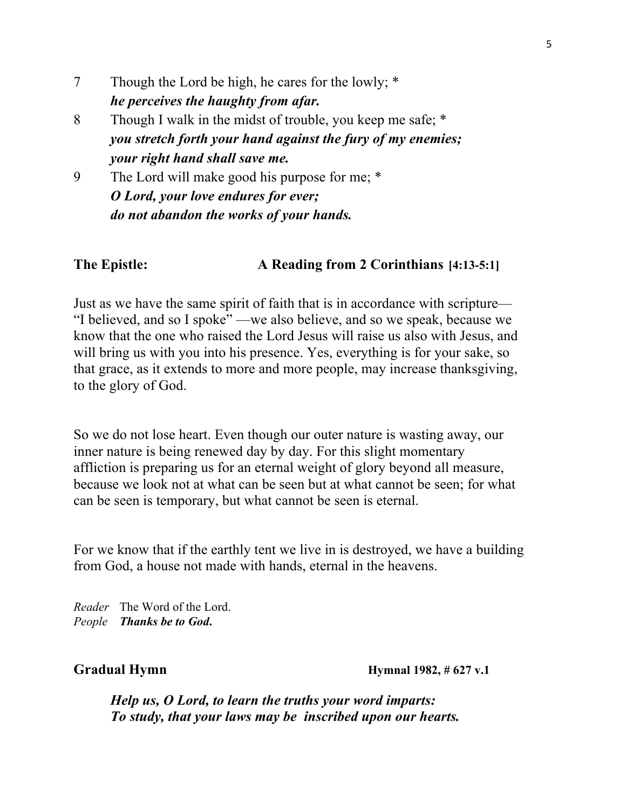- 7 Though the Lord be high, he cares for the lowly; \* *he perceives the haughty from afar.*
- 8 Though I walk in the midst of trouble, you keep me safe; \* *you stretch forth your hand against the fury of my enemies; your right hand shall save me.*
- 9 The Lord will make good his purpose for me; \* *O Lord, your love endures for ever; do not abandon the works of your hands.*

## **The Epistle: A Reading from 2 Corinthians [4:13-5:1]**

Just as we have the same spirit of faith that is in accordance with scripture— "I believed, and so I spoke" —we also believe, and so we speak, because we know that the one who raised the Lord Jesus will raise us also with Jesus, and will bring us with you into his presence. Yes, everything is for your sake, so that grace, as it extends to more and more people, may increase thanksgiving, to the glory of God.

So we do not lose heart. Even though our outer nature is wasting away, our inner nature is being renewed day by day. For this slight momentary affliction is preparing us for an eternal weight of glory beyond all measure, because we look not at what can be seen but at what cannot be seen; for what can be seen is temporary, but what cannot be seen is eternal.

For we know that if the earthly tent we live in is destroyed, we have a building from God, a house not made with hands, eternal in the heavens.

*Reader* The Word of the Lord. *People Thanks be to God***.**

**Gradual Hymn Hymnal 1982, # 627 v.1**

*Help us, O Lord, to learn the truths your word imparts: To study, that your laws may be inscribed upon our hearts.*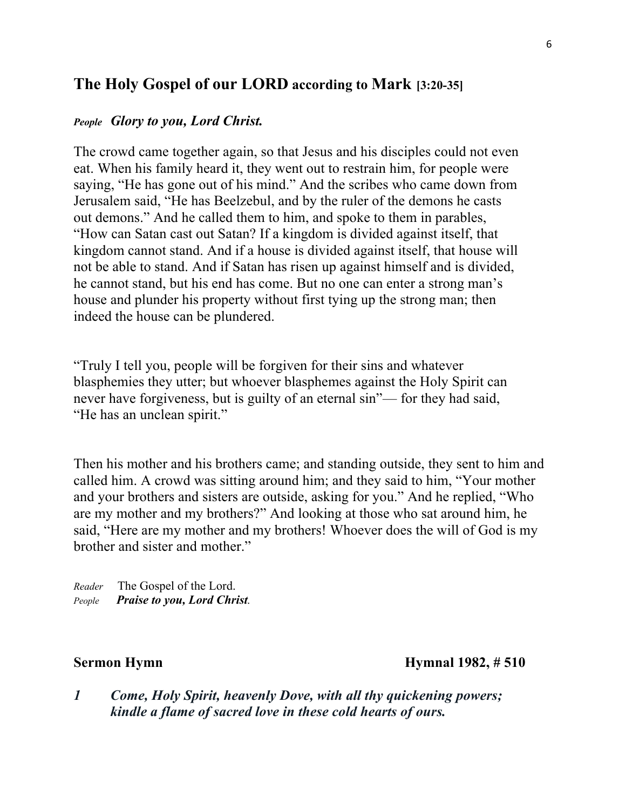## **The Holy Gospel of our LORD according to Mark [3:20-35]**

#### *People Glory to you, Lord Christ.*

The crowd came together again, so that Jesus and his disciples could not even eat. When his family heard it, they went out to restrain him, for people were saying, "He has gone out of his mind." And the scribes who came down from Jerusalem said, "He has Beelzebul, and by the ruler of the demons he casts out demons." And he called them to him, and spoke to them in parables, "How can Satan cast out Satan? If a kingdom is divided against itself, that kingdom cannot stand. And if a house is divided against itself, that house will not be able to stand. And if Satan has risen up against himself and is divided, he cannot stand, but his end has come. But no one can enter a strong man's house and plunder his property without first tying up the strong man; then indeed the house can be plundered.

"Truly I tell you, people will be forgiven for their sins and whatever blasphemies they utter; but whoever blasphemes against the Holy Spirit can never have forgiveness, but is guilty of an eternal sin"— for they had said, "He has an unclean spirit."

Then his mother and his brothers came; and standing outside, they sent to him and called him. A crowd was sitting around him; and they said to him, "Your mother and your brothers and sisters are outside, asking for you." And he replied, "Who are my mother and my brothers?" And looking at those who sat around him, he said, "Here are my mother and my brothers! Whoever does the will of God is my brother and sister and mother."

*Reader* The Gospel of the Lord. *People Praise to you, Lord Christ.*

**Sermon Hymn Hymnal 1982, #510** 

*1 Come, Holy Spirit, heavenly Dove, with all thy quickening powers; kindle a flame of sacred love in these cold hearts of ours.*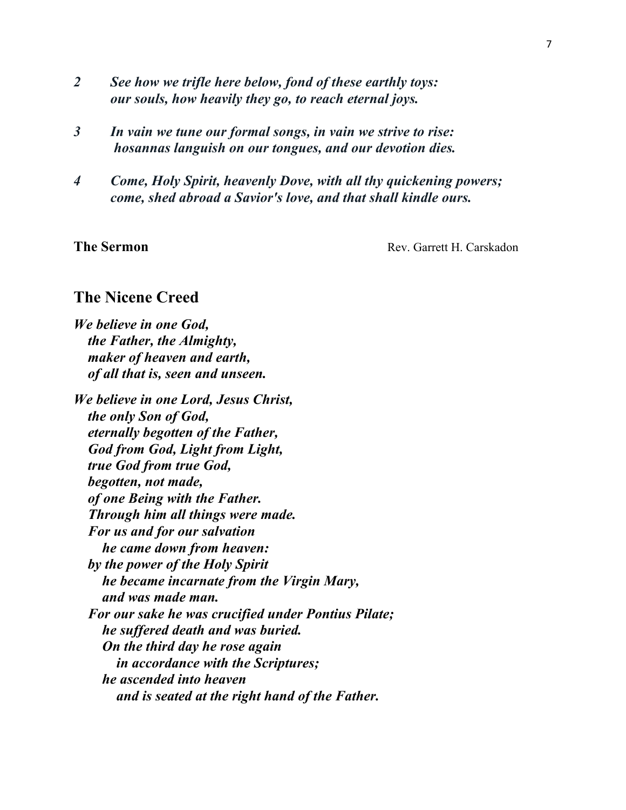- *2 See how we trifle here below, fond of these earthly toys: our souls, how heavily they go, to reach eternal joys.*
- *3 In vain we tune our formal songs, in vain we strive to rise: hosannas languish on our tongues, and our devotion dies.*
- *4 Come, Holy Spirit, heavenly Dove, with all thy quickening powers; come, shed abroad a Savior's love, and that shall kindle ours.*

**The Sermon Rev. Garrett H. Carskadon** 

## **The Nicene Creed**

*We believe in one God, the Father, the Almighty, maker of heaven and earth, of all that is, seen and unseen.* 

*We believe in one Lord, Jesus Christ, the only Son of God, eternally begotten of the Father, God from God, Light from Light, true God from true God, begotten, not made, of one Being with the Father. Through him all things were made. For us and for our salvation he came down from heaven: by the power of the Holy Spirit he became incarnate from the Virgin Mary, and was made man. For our sake he was crucified under Pontius Pilate; he suffered death and was buried. On the third day he rose again in accordance with the Scriptures; he ascended into heaven and is seated at the right hand of the Father.*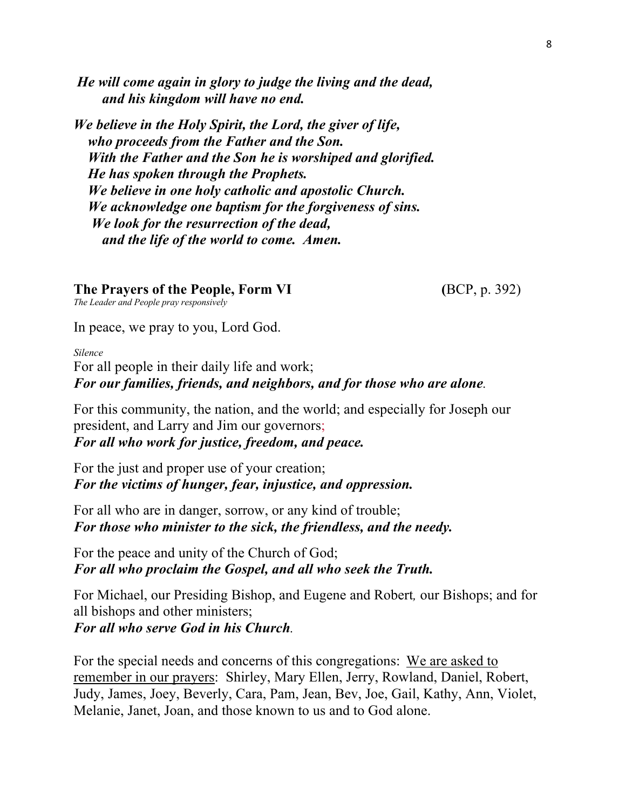*He will come again in glory to judge the living and the dead, and his kingdom will have no end.* 

*We believe in the Holy Spirit, the Lord, the giver of life, who proceeds from the Father and the Son. With the Father and the Son he is worshiped and glorified. He has spoken through the Prophets. We believe in one holy catholic and apostolic Church. We acknowledge one baptism for the forgiveness of sins. We look for the resurrection of the dead, and the life of the world to come. Amen.*

**The Prayers of the People, Form VI (**BCP, p. 392)

*The Leader and People pray responsively*

In peace, we pray to you, Lord God.

*Silence* For all people in their daily life and work; *For our families, friends, and neighbors, and for those who are alone.*

For this community, the nation, and the world; and especially for Joseph our president, and Larry and Jim our governors; *For all who work for justice, freedom, and peace.*

For the just and proper use of your creation; *For the victims of hunger, fear, injustice, and oppression.* 

For all who are in danger, sorrow, or any kind of trouble; *For those who minister to the sick, the friendless, and the needy.*

For the peace and unity of the Church of God; *For all who proclaim the Gospel, and all who seek the Truth.*

For Michael, our Presiding Bishop, and Eugene and Robert*,* our Bishops; and for all bishops and other ministers; *For all who serve God in his Church.*

For the special needs and concerns of this congregations: We are asked to remember in our prayers: Shirley, Mary Ellen, Jerry, Rowland, Daniel, Robert, Judy, James, Joey, Beverly, Cara, Pam, Jean, Bev, Joe, Gail, Kathy, Ann, Violet, Melanie, Janet, Joan, and those known to us and to God alone.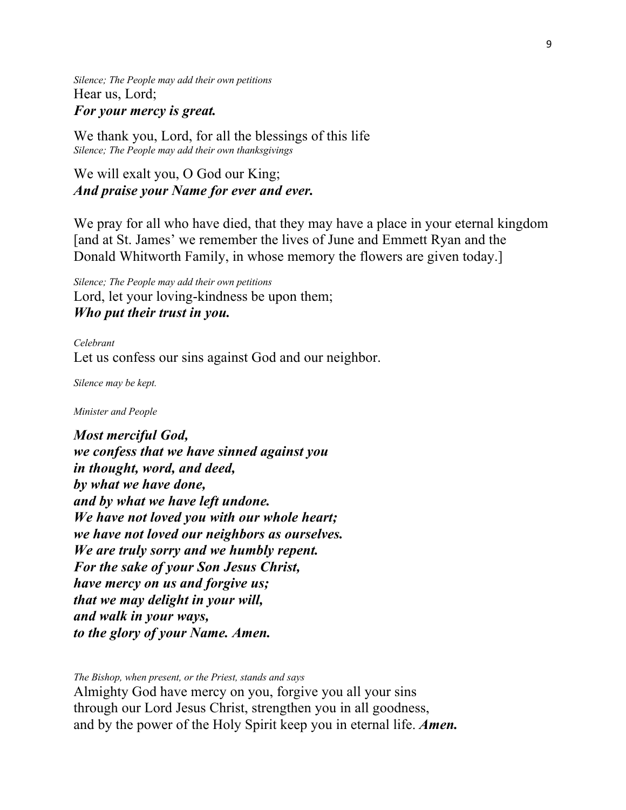*Silence; The People may add their own petitions* Hear us, Lord; *For your mercy is great.*

We thank you, Lord, for all the blessings of this life *Silence; The People may add their own thanksgivings*

## We will exalt you, O God our King; *And praise your Name for ever and ever.*

We pray for all who have died, that they may have a place in your eternal kingdom [and at St. James' we remember the lives of June and Emmett Ryan and the Donald Whitworth Family, in whose memory the flowers are given today.]

*Silence; The People may add their own petitions* Lord, let your loving-kindness be upon them; *Who put their trust in you.*

*Celebrant*  Let us confess our sins against God and our neighbor.

*Silence may be kept.*

*Minister and People*

*Most merciful God, we confess that we have sinned against you in thought, word, and deed, by what we have done, and by what we have left undone. We have not loved you with our whole heart; we have not loved our neighbors as ourselves. We are truly sorry and we humbly repent. For the sake of your Son Jesus Christ, have mercy on us and forgive us; that we may delight in your will, and walk in your ways, to the glory of your Name. Amen.*

*The Bishop, when present, or the Priest, stands and says*

Almighty God have mercy on you, forgive you all your sins through our Lord Jesus Christ, strengthen you in all goodness, and by the power of the Holy Spirit keep you in eternal life. *Amen.*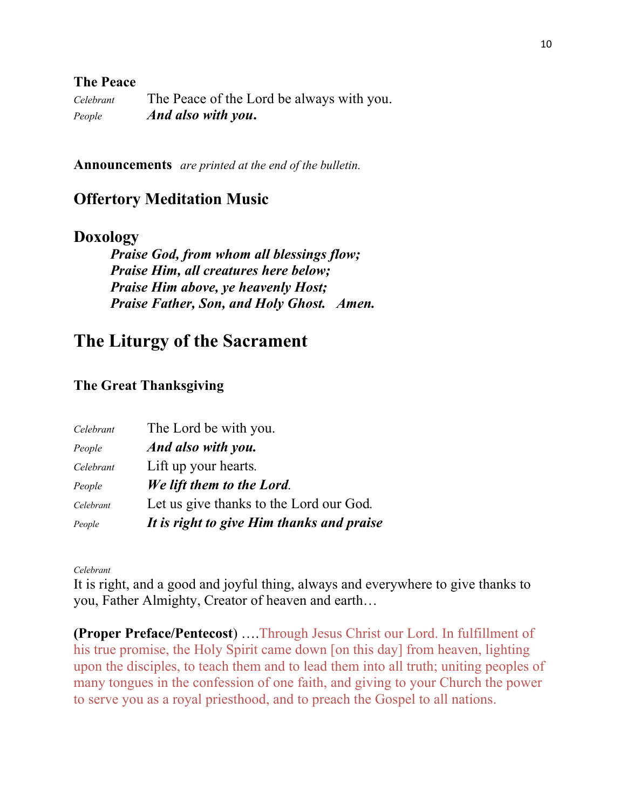## **The Peace**

*Celebrant* The Peace of the Lord be always with you. *People And also with you***.**

**Announcements** *are printed at the end of the bulletin.*

## **Offertory Meditation Music**

## **Doxology**

*Praise God, from whom all blessings flow; Praise Him, all creatures here below; Praise Him above, ye heavenly Host; Praise Father, Son, and Holy Ghost. Amen.*

# **The Liturgy of the Sacrament**

## **The Great Thanksgiving**

| People    | It is right to give Him thanks and praise |
|-----------|-------------------------------------------|
| Celebrant | Let us give thanks to the Lord our God.   |
| People    | We lift them to the Lord.                 |
| Celebrant | Lift up your hearts.                      |
| People    | And also with you.                        |
| Celebrant | The Lord be with you.                     |

*Celebrant* 

It is right, and a good and joyful thing, always and everywhere to give thanks to you, Father Almighty, Creator of heaven and earth…

**(Proper Preface/Pentecost**) ….Through Jesus Christ our Lord. In fulfillment of his true promise, the Holy Spirit came down [on this day] from heaven, lighting upon the disciples, to teach them and to lead them into all truth; uniting peoples of many tongues in the confession of one faith, and giving to your Church the power to serve you as a royal priesthood, and to preach the Gospel to all nations.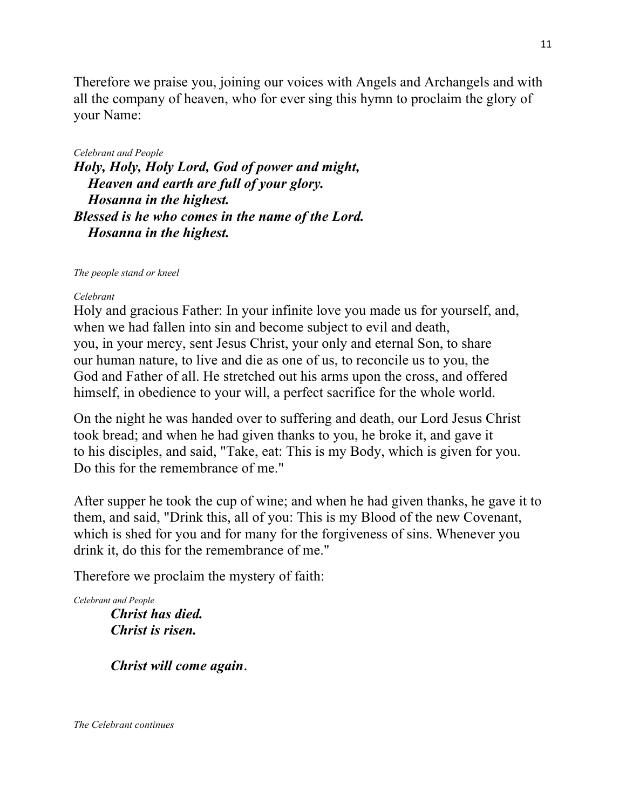Therefore we praise you, joining our voices with Angels and Archangels and with all the company of heaven, who for ever sing this hymn to proclaim the glory of your Name:

*Celebrant and People*

*Holy, Holy, Holy Lord, God of power and might, Heaven and earth are full of your glory. Hosanna in the highest. Blessed is he who comes in the name of the Lord. Hosanna in the highest.*

*The people stand or kneel* 

#### *Celebrant*

Holy and gracious Father: In your infinite love you made us for yourself, and, when we had fallen into sin and become subject to evil and death, you, in your mercy, sent Jesus Christ, your only and eternal Son, to share our human nature, to live and die as one of us, to reconcile us to you, the God and Father of all. He stretched out his arms upon the cross, and offered himself, in obedience to your will, a perfect sacrifice for the whole world.

On the night he was handed over to suffering and death, our Lord Jesus Christ took bread; and when he had given thanks to you, he broke it, and gave it to his disciples, and said, "Take, eat: This is my Body, which is given for you. Do this for the remembrance of me."

After supper he took the cup of wine; and when he had given thanks, he gave it to them, and said, "Drink this, all of you: This is my Blood of the new Covenant, which is shed for you and for many for the forgiveness of sins. Whenever you drink it, do this for the remembrance of me."

Therefore we proclaim the mystery of faith:

*Celebrant and People*

*Christ has died. Christ is risen.*

*Christ will come again*.

*The Celebrant continues*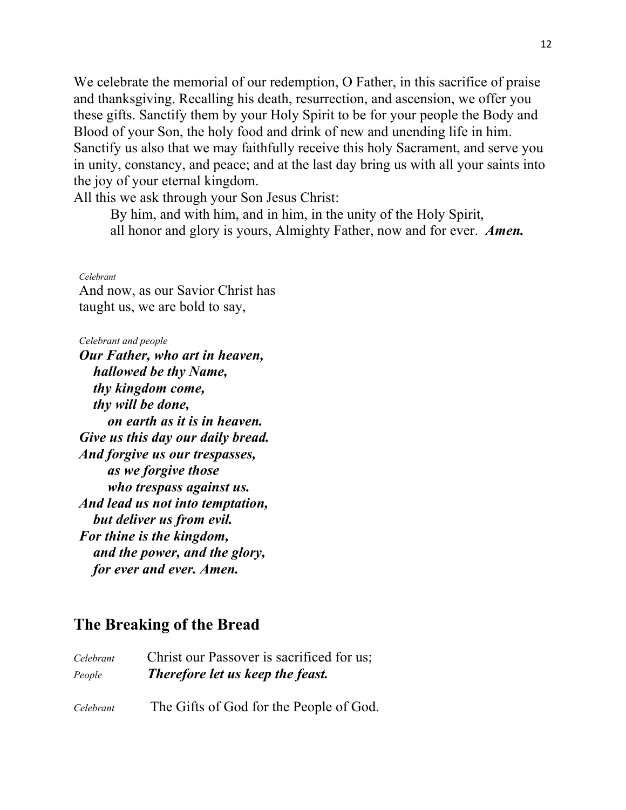We celebrate the memorial of our redemption, O Father, in this sacrifice of praise and thanksgiving. Recalling his death, resurrection, and ascension, we offer you these gifts. Sanctify them by your Holy Spirit to be for your people the Body and Blood of your Son, the holy food and drink of new and unending life in him. Sanctify us also that we may faithfully receive this holy Sacrament, and serve you in unity, constancy, and peace; and at the last day bring us with all your saints into the joy of your eternal kingdom.

All this we ask through your Son Jesus Christ:

By him, and with him, and in him, in the unity of the Holy Spirit, all honor and glory is yours, Almighty Father, now and for ever. *Amen.*

*Celebrant* And now, as our Savior Christ has taught us, we are bold to say,

*Celebrant and people*

*Our Father, who art in heaven, hallowed be thy Name, thy kingdom come, thy will be done, on earth as it is in heaven. Give us this day our daily bread. And forgive us our trespasses, as we forgive those who trespass against us. And lead us not into temptation, but deliver us from evil. For thine is the kingdom, and the power, and the glory, for ever and ever. Amen.*

# **The Breaking of the Bread**

| Celebrant | Christ our Passover is sacrificed for us: |
|-----------|-------------------------------------------|
| People    | Therefore let us keep the feast.          |
| Celebrant | The Gifts of God for the People of God.   |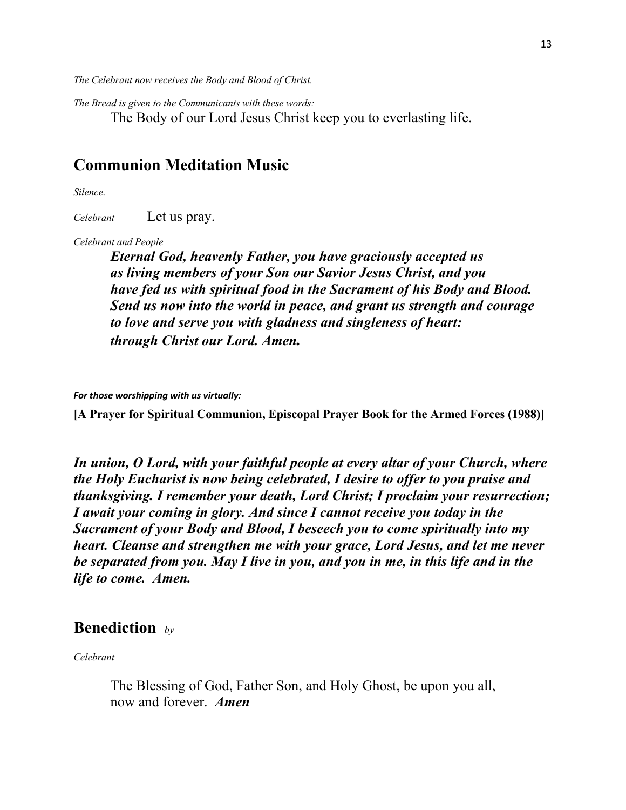*The Celebrant now receives the Body and Blood of Christ.*

*The Bread is given to the Communicants with these words:* The Body of our Lord Jesus Christ keep you to everlasting life.

# **Communion Meditation Music**

*Silence.* 

*Celebrant* Let us pray.

*Celebrant and People*

*Eternal God, heavenly Father, you have graciously accepted us as living members of your Son our Savior Jesus Christ, and you have fed us with spiritual food in the Sacrament of his Body and Blood. Send us now into the world in peace, and grant us strength and courage to love and serve you with gladness and singleness of heart: through Christ our Lord. Amen.*

*For those worshipping with us virtually:*

**[A Prayer for Spiritual Communion, Episcopal Prayer Book for the Armed Forces (1988)]**

*In union, O Lord, with your faithful people at every altar of your Church, where the Holy Eucharist is now being celebrated, I desire to offer to you praise and thanksgiving. I remember your death, Lord Christ; I proclaim your resurrection; I await your coming in glory. And since I cannot receive you today in the Sacrament of your Body and Blood, I beseech you to come spiritually into my heart. Cleanse and strengthen me with your grace, Lord Jesus, and let me never be separated from you. May I live in you, and you in me, in this life and in the life to come. Amen.* 

## **Benediction** *by*

*Celebrant*

The Blessing of God, Father Son, and Holy Ghost, be upon you all, now and forever. *Amen*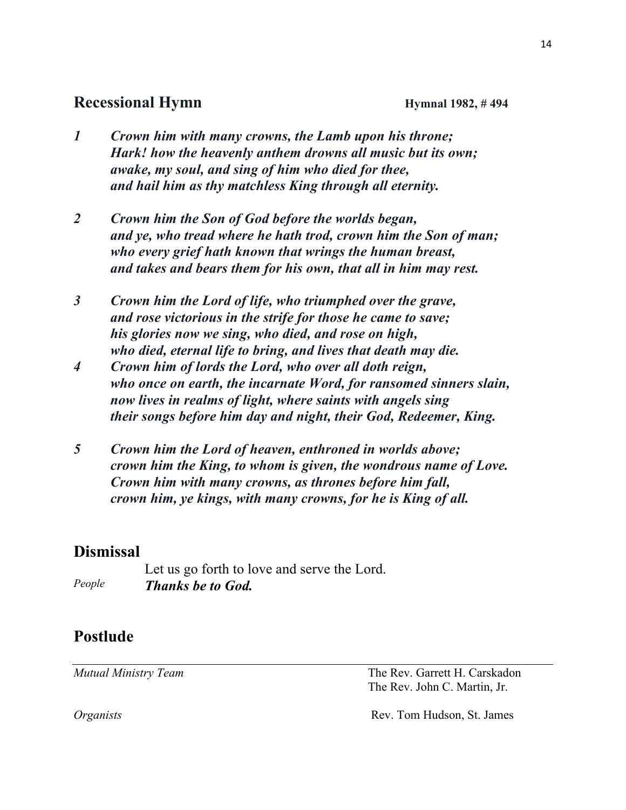- *1 Crown him with many crowns, the Lamb upon his throne; Hark! how the heavenly anthem drowns all music but its own; awake, my soul, and sing of him who died for thee, and hail him as thy matchless King through all eternity.*
- *2 Crown him the Son of God before the worlds began, and ye, who tread where he hath trod, crown him the Son of man; who every grief hath known that wrings the human breast, and takes and bears them for his own, that all in him may rest.*
- *3 Crown him the Lord of life, who triumphed over the grave, and rose victorious in the strife for those he came to save; his glories now we sing, who died, and rose on high, who died, eternal life to bring, and lives that death may die.*
- *4 Crown him of lords the Lord, who over all doth reign, who once on earth, the incarnate Word, for ransomed sinners slain, now lives in realms of light, where saints with angels sing their songs before him day and night, their God, Redeemer, King.*
- *5 Crown him the Lord of heaven, enthroned in worlds above; crown him the King, to whom is given, the wondrous name of Love. Crown him with many crowns, as thrones before him fall, crown him, ye kings, with many crowns, for he is King of all.*

# **Dismissal**

Let us go forth to love and serve the Lord. *People Thanks be to God.*

# **Postlude**

*Mutual Ministry Team* The Rev. Garrett H. Carskadon The Rev. John C. Martin, Jr.

*Organists* Rev. Tom Hudson, St. James